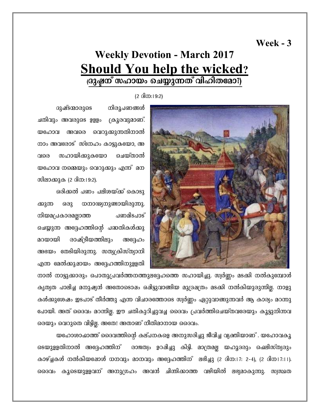### Week  $-3$

# **Weekly Devotion - March 2017 Should You help the wicked?** ദ്രുഷ്ലന് സഹായം ചെയ്യുന്നത് വിഹിതമോ?)

 $(2 \text{ }6\text{)}\text{ }m:19:2)$ 



ദുഷ്ടന്മാരുടെ നിരൂപണങ്ങൾ ചതിവും അവരുടെ ഉളളം ക്രൂരവുമാണ്. യഹോവ അവരെ വെറുക്കുന്നതിനാൽ നാം അവരോട് സ്നേഹം കാട്ടുകയോ, അ സഹായിക്കുകയോ ചെയ്താൽ വരെ യഹോവ നമ്മെയും വെറുക്കും എന്ന് മന സിലാക്കുക (2 ദിന:19:2).

ഒരിക്കൽ പണം പലിശയ്ക്ക് കൊടു ക്കുന്ന ഒരു ധനാഢ്യനുണ്ടായിരുന്നു. പണമിടപാട് നിയമപ്രകാരമല്ലാത്ത ചെയ്യുന്ന അദ്ദേഹത്തിന്റെ പദ്ധതികൾക്കു മറയായി രാഷ്ട്രീയത്തിലും അദ്ദേഹം അഭയം തേടിയിരുന്നു. സത്യക്രിസ്ത്യാനി എന്ന മേൽക്കുഷായം അദ്ദേഹത്തിനുള്ളതി

നാൽ നാട്ടുക്കാരും പൊതുപ്രവർത്തനത്തുലദ്ദേഹത്തെ സഹായിച്ചു. സ്വർണ്ണം മടക്കി നൽകുമ്പോൾ കൃത്യത പാലിച്ച മനുഷ്യൻ അതോടൊഷം ഒഷിട്ടുവാങ്ങിയ മുദ്രഷത്രം മടക്കി നൽകിയുരുന്നില്ല. നാളു കൾക്കുശേഷം ഇടപാട് തീർത്തു എന്ന വിചാരത്തോടെ സ്വർണ്ണം ഏറ്റുവാങ്ങുന്നവർ ആ കാര്യം മറന്നു പോയി. അത് ദൈവം മറന്നില്ല. ഈ ചതികുറിച്ചുവച്ച ദൈവം പ്രവർത്തിചെയ്തവരേയും കൂട്ടുനിന്നവ രെയും വെറുതെ വിട്ടില്ല. അതേ! അതാണ് നീതിമാനായ ദൈവം.

യഹോശാഹ്മാത്ത് ദൈവത്തിന്റെ കല്പനകളെ അനുസരിച്ചു ജീവിച്ച വ്യക്തിയാണ് . യഹോവകൂ ടെയുളളതിനാൽ അദ്ദേഹത്തിന് രാജത്വം ഉറപ്പിച്ചു കിട്ടി. മാത്രമല്ല യഹൂദരും ചെലിസ്ത്യരും കാഴ്ച്ചകൾ നൽകിയഷോൾ ധനവും മാനവും അദ്ദേഹത്തിന്ന ലഭിച്ചു (2 ദിന:17: 2-4), (2 ദിന17:11). ദൈവം കൂടെയുളളവന് അനുഗ്രഹം അവൻ ചിന്തിക്കാത്ത വഴിയിൽ ലഭ്യമാകുന്നു. സ്വസ്ഥത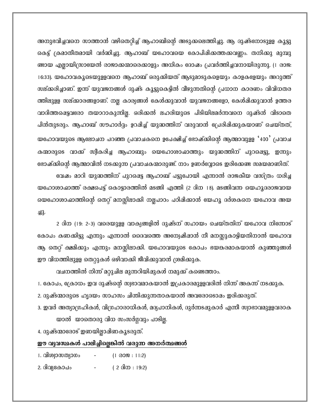അനുഭവിച്ചവനെ സാത്താൻ വഴിതെറ്റിച്ച് ആഹാബിന്റെ അടുക്കലെത്തിച്ചു. ആ ദുഷ്ടനോടുളള കൂട്ടു കെട്ട് ക്രമാതീതമായി വർദ്ധിച്ചു. ആഹാബ് യഹോവയെ കോപിഷിക്കത്തക്കവണ്ണം. തനിക്കു മുമ്പു ണ്ടായ എല്ലായിസ്രായേൽ രാജാക്കന്മാരെക്കാളും അധികം ദോഷം പ്രവർത്തിച്ചവനായിരുന്നു. (1 രാജ: 16:33). യഹോവകൂടെയുളളവനെ ആഹാബ് ഒരുക്കിയത് ആടുമാടുകളെയും കാളകളേയും അറുത്ത് സല്ക്കരിച്ചാണ്. ഇന്ന് യുവജനങ്ങൾ ദുഷ്ട കൂട്ടുകെട്ടിൽ വീഴുന്നതിന്റെ പ്രധാന കാരണം വിവിധതര ത്തിലുളള സല്ക്കാരങ്ങളാണ്. നല്ല കാര്യങ്ങൾ കേൾക്കുവാൻ യുവജനങ്ങളോ, കേൾഷിക്കുവാൻ ഉത്തര വാദിത്തഷെട്ടവരോ തയാറാകുന്നില്ല. ഒരിക്കൽ ലഹരിയുടെ പിടിയിലമർന്നവനെ ദുഷ്ടൻ വിടാതെ പിൻതുടരും. ആഹാബ് സൗഹാർദ്ദം ഉറഷിച്ച് യുദ്ധത്തിന് വരുവാൻ പ്രേരിഷിക്കുകയാണ് ചെയ്തത്, യഹോവയുടെ ആലോചന പറഞ്ഞ പ്രവാചകനെ ഉപേക്ഷിച്ച് ഭോഷ്ക്കിന്റെ ആത്മാവുളള '400' പ്രവാച കന്മാരുടെ വാക്ക് സ്വീകരിച്ച ആഹാബും യെഹോശാഹ്മാത്തും യുദ്ധത്തിന് പുറപ്പെട്ടു, ഇന്നും ഭോഷ്കിന്റെ ആത്മാവിൽ നടക്കുന്ന പ്രവാചകന്മാരുണ്ട്. നാം ഉണർവ്വോടെ ഇരിക്കേണ്ട സമയമാണിത്. വേഷം മാറി യുദ്ധത്തിന് പുറപ്പെട്ട ആഹാബ് പട്ടുപോയി എന്നാൽ രാജകീയ വസ്ത്രം ധരിച്ച

യഹോശാഹ്മാത്ത് രക്ഷപെട്ട് കൊട്ടാരത്തിൽ മടങ്ങി എത്തി (2 ദിന 18). മടങ്ങിവന്ന യെഹൃദരാജവായ യെഹോശാഹ്മാത്തിന്റെ തെറ്റ് മനസ്സിലാക്കി നല്ലപാഠം പഠിഷിക്കാൻ യേഹു ദർശകനെ യഹോവ അയ  $-23.$ 

2 ദിന (19: 2-3) വരെയുളള വാക്യങ്ങളിൽ ദുഷ്ടന് സഹായം ചെയ്തതിന് യഹോവ നിന്നോട് കോപം കണക്കിട്ടു എന്നും എന്നാൽ ദൈവത്തെ അന്വേഷിഷാൻ നീ മനസ്സുകാട്ടിയതിനാൽ യഹോവ ആ തെറ്റ് ക്ഷമിക്കും എന്നും മനസ്സിലാക്കി. യഹോവയുടെ കോപം ഭയങ്കരമാകയാൽ കുഞ്ഞുങ്ങൾ ഈ വിധത്തിലുളള തെറ്റുകൾ ഒഴിവാക്കി ജീവിക്കുവാൻ ശ്രമിക്കുക.

വചനത്തിൽ നിന്ന് മറ്റുചില മുന്നറിയിഷുകൾ നമുക്ക് കണ്ടെത്താം.

1. കോപം, ഫ്രോധം ഇവ ദുഷ്ടന്റെ സ്വഭാവമാകയാൽ ഇപ്രകാരമുളളവരിൽ നിന്ന് അകന്ന് നടക്കുക.

2. ദുഷ്ടന്മാരുടെ ഹൃദയം സാഹസം ചിന്തിക്കുന്നതാകയാൽ അവരോടൊഷം ഇരിക്കരുത്.

3. ഇവർ അത്യാഗ്രഹികൾ, വിഗ്രഹാരാധികൾ, മദ്യപാനികൾ, ദുർന്നടഷുകാർ എന്നീ സ്വാഭാവമുളളവരാക യാൽ യാതൊരു വിധ സംസർഗ്ഗവും പാടില്ല.

4. ദുഷ്ടന്മാരോട് ഇണയില്ലാഷിണകൂടരുത്.

#### ഈ വ്യവസ്ഥകൾ പാലിച്ചില്ലെങ്കിൽ വരുന്ന അനർത്ഥങ്ങൾ

| 1. വിശ്വാസത്യാഗം |   | $(1 \t0099 : 11:2)$ |
|------------------|---|---------------------|
| 2. ദിവ്യകോപം     | - | ( 2 ദിന : 19:2)     |